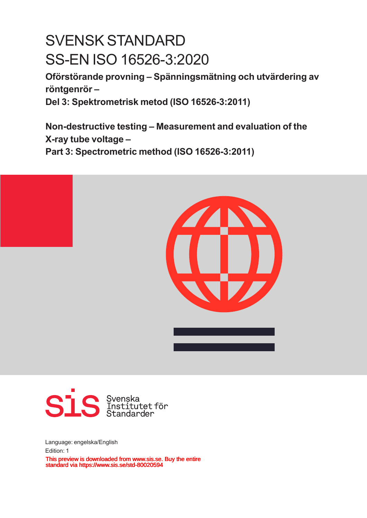# SVENSK STANDARD SS-EN ISO 16526-3:2020

**Oförstörande provning – Spänningsmätning och utvärdering av röntgenrör –**

**Del 3: Spektrometrisk metod (ISO 16526‑3:2011)**

**Non-destructive testing – Measurement and evaluation of the X-ray tube voltage – Part 3: Spectrometric method (ISO 16526‑3:2011)**





Language: engelska/English Edition: 1 This preview is downloaded from www.sis.se. Buy the entire standard via https://www.sis.se/std-80020594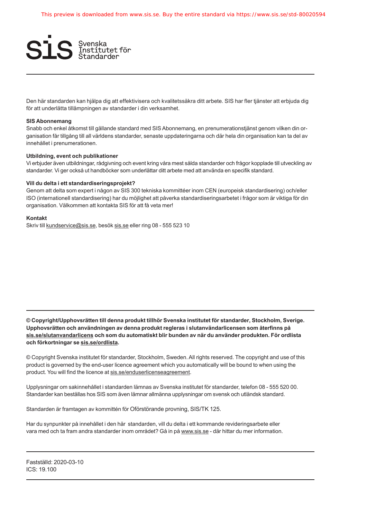

Den här standarden kan hjälpa dig att effektivisera och kvalitetssäkra ditt arbete. SIS har fler tjänster att erbjuda dig för att underlätta tillämpningen av standarder i din verksamhet.

#### **SIS Abonnemang**

Snabb och enkel åtkomst till gällande standard med SIS Abonnemang, en prenumerationstjänst genom vilken din organisation får tillgång till all världens standarder, senaste uppdateringarna och där hela din organisation kan ta del av innehållet i prenumerationen.

#### **Utbildning, event och publikationer**

Vi erbjuder även utbildningar, rådgivning och event kring våra mest sålda standarder och frågor kopplade till utveckling av standarder. Vi ger också ut handböcker som underlättar ditt arbete med att använda en specifik standard.

#### **Vill du delta i ett standardiseringsprojekt?**

Genom att delta som expert i någon av SIS 300 tekniska kommittéer inom CEN (europeisk standardisering) och/eller ISO (internationell standardisering) har du möjlighet att påverka standardiseringsarbetet i frågor som är viktiga för din organisation. Välkommen att kontakta SIS för att få veta mer!

#### **Kontakt**

Skriv till kundservice@sis.se, besök sis.se eller ring 08 - 555 523 10

**© Copyright/Upphovsrätten till denna produkt tillhör Svenska institutet för standarder, Stockholm, Sverige. Upphovsrätten och användningen av denna produkt regleras i slutanvändarlicensen som återfinns på sis.se/slutanvandarlicens och som du automatiskt blir bunden av när du använder produkten. För ordlista och förkortningar se sis.se/ordlista.**

© Copyright Svenska institutet för standarder, Stockholm, Sweden. All rights reserved. The copyright and use of this product is governed by the end-user licence agreement which you automatically will be bound to when using the product. You will find the licence at sis.se/enduserlicenseagreement.

Upplysningar om sakinnehållet i standarden lämnas av Svenska institutet för standarder, telefon 08 - 555 520 00. Standarder kan beställas hos SIS som även lämnar allmänna upplysningar om svensk och utländsk standard.

Standarden är framtagen av kommittén för Oförstörande provning, SIS/TK 125.

Har du synpunkter på innehållet i den här standarden, vill du delta i ett kommande revideringsarbete eller vara med och ta fram andra standarder inom området? Gå in på www.sis.se - där hittar du mer information.

Fastställd: 2020-03-10 ICS: 19.100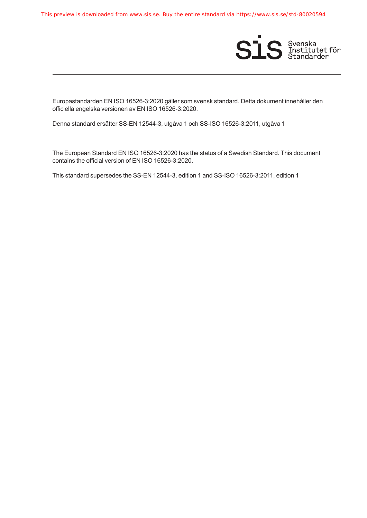This preview is downloaded from www.sis.se. Buy the entire standard via https://www.sis.se/std-80020594



Europastandarden EN ISO 16526-3:2020 gäller som svensk standard. Detta dokument innehåller den officiella engelska versionen av EN ISO 16526-3:2020.

Denna standard ersätter SS-EN 12544-3, utgåva 1 och SS-ISO 16526-3:2011, utgåva 1

The European Standard EN ISO 16526-3:2020 has the status of a Swedish Standard. This document contains the official version of EN ISO 16526-3:2020.

This standard supersedes the SS-EN 12544-3, edition 1 and SS-ISO 16526-3:2011, edition 1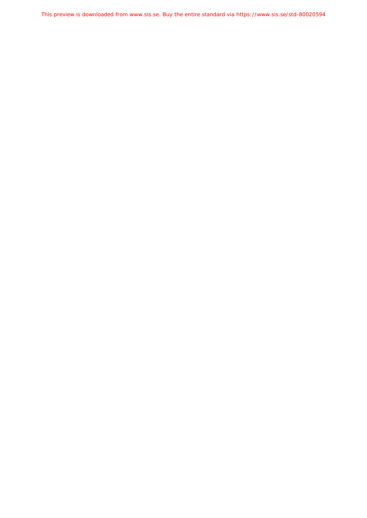This preview is downloaded from www.sis.se. Buy the entire standard via https://www.sis.se/std-80020594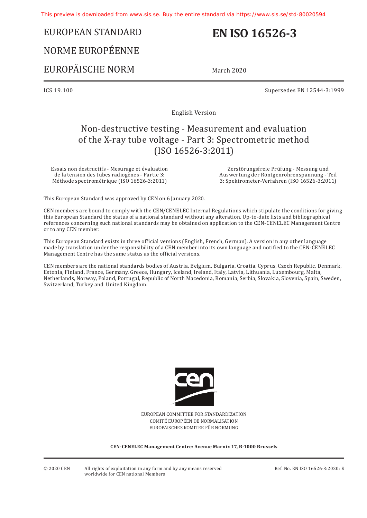This preview is downloaded from www.sis.se. Buy the entire standard via https://www.sis.se/std-80020594

#### EUROPEAN STANDARD

## **EN ISO 16526-3**

### NORME EUROPÉENNE

### EUROPÄISCHE NORM

March 2020

ICS 19.100 Supersedes EN 12544-3:1999

English Version

### Non-destructive testing - Measurement and evaluation of the X-ray tube voltage - Part 3: Spectrometric method (ISO 16526-3:2011)

Essais non destructifs - Mesurage et évaluation de la tension des tubes radiogènes - Partie 3: Méthode spectrométrique (ISO 16526-3:2011)

Zerstörungsfreie Prüfung - Messung und Auswertung der Röntgenröhrenspannung - Teil 3: Spektrometer-Verfahren (ISO 16526-3:2011)

This European Standard was approved by CEN on 6 January 2020.

CEN members are bound to comply with the CEN/CENELEC Internal Regulations which stipulate the conditions for giving this European Standard the status of a national standard without any alteration. Up-to-date lists and bibliographical references concerning such national standards may be obtained on application to the CEN-CENELEC Management Centre or to any CEN member.

This European Standard exists in three official versions (English, French, German). A version in any other language made by translation under the responsibility of a CEN member into its own language and notified to the CEN-CENELEC Management Centre has the same status as the official versions.

CEN members are the national standards bodies of Austria, Belgium, Bulgaria, Croatia, Cyprus, Czech Republic, Denmark, Estonia, Finland, France, Germany, Greece, Hungary, Iceland, Ireland, Italy, Latvia, Lithuania, Luxembourg, Malta, Netherlands, Norway, Poland, Portugal, Republic of North Macedonia, Romania, Serbia, Slovakia, Slovenia, Spain, Sweden, Switzerland, Turkey and United Kingdom.



EUROPEAN COMMITTEE FOR STANDARDIZATION COMITÉ EUROPÉEN DE NORMALISATION EUROPÄISCHES KOMITEE FÜR NORMUNG

**CEN-CENELEC Management Centre: Avenue Marnix 17, B-1000 Brussels**

© 2020 CEN All rights of exploitation in any form and by any means reserved Ref. No. EN ISO 16526-3:2020: E worldwide for CEN national Members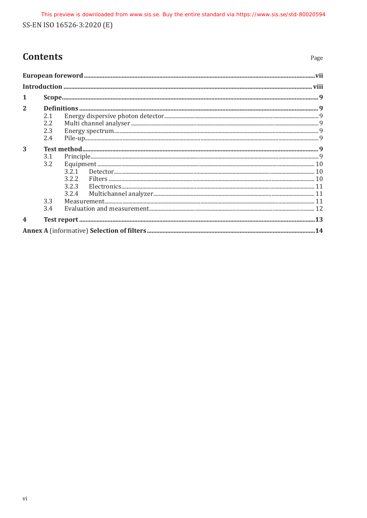### **Contents**

| . .<br>۰.<br>×<br>v<br>w |
|--------------------------|
|--------------------------|

| $\overline{2}$   | 2.1<br>2.2<br>2.3<br>2.4 |                                                                                                                                 |  |
|------------------|--------------------------|---------------------------------------------------------------------------------------------------------------------------------|--|
| 3                | 3.3<br>3.4               | $3.1 \tPrinciple.\n3.2 \tEquipment.\n3.3.1 \tPericiple.\n3.2.1 \tDetector.\n3.3.2 \tint the factor.$<br>3.2.2<br>3.2.3<br>3.2.4 |  |
| $\boldsymbol{4}$ |                          |                                                                                                                                 |  |
|                  |                          |                                                                                                                                 |  |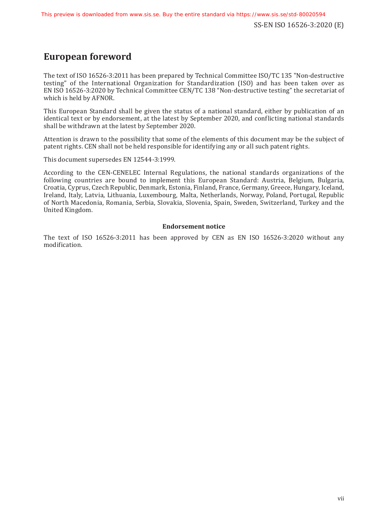### <span id="page-6-0"></span>**European foreword**

The text of ISO 16526-3:2011 has been prepared by Technical Committee ISO/TC 135 "Non-destructive testing" of the International Organization for Standardization (ISO) and has been taken over as EN ISO 16526-3:2020 by Technical Committee CEN/TC 138 "Non-destructive testing" the secretariat of which is held by AFNOR.

This European Standard shall be given the status of a national standard, either by publication of an identical text or by endorsement, at the latest by September 2020, and conflicting national standards shall be withdrawn at the latest by September 2020.

Attention is drawn to the possibility that some of the elements of this document may be the subject of patent rights. CEN shall not be held responsible for identifying any or all such patent rights.

This document supersedes EN 12544-3:1999.

According to the CEN-CENELEC Internal Regulations, the national standards organizations of the following countries are bound to implement this European Standard: Austria, Belgium, Bulgaria, Croatia, Cyprus, Czech Republic, Denmark, Estonia, Finland, France, Germany, Greece, Hungary, Iceland, Ireland, Italy, Latvia, Lithuania, Luxembourg, Malta, Netherlands, Norway, Poland, Portugal, Republic of North Macedonia, Romania, Serbia, Slovakia, Slovenia, Spain, Sweden, Switzerland, Turkey and the United Kingdom.

#### **Endorsement notice**

The text of ISO 16526-3:2011 has been approved by CEN as EN ISO 16526-3:2020 without any modification.